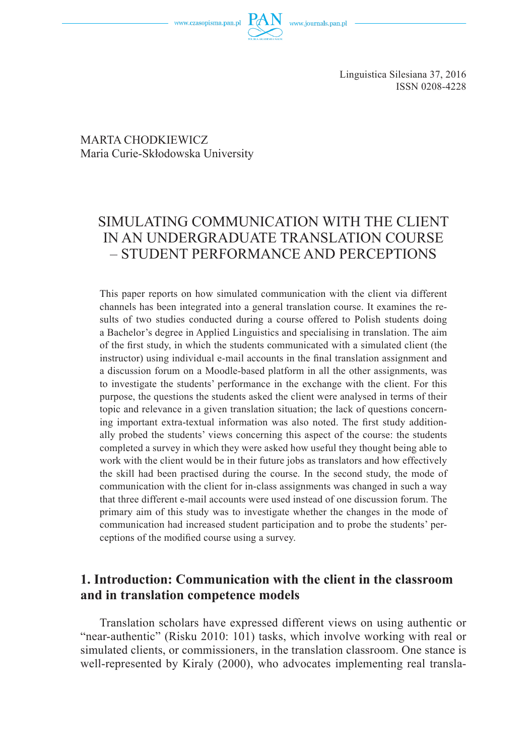### MARTA CHODKIEWICZ Maria Curie-Skłodowska University

# SIMULATING COMMUNICATION WITH THE CLIENT IN AN UNDERGRADUATE TRANSLATION COURSE – STUDENT PERFORMANCE AND PERCEPTIONS

This paper reports on how simulated communication with the client via different channels has been integrated into a general translation course. It examines the results of two studies conducted during a course offered to Polish students doing a Bachelor's degree in Applied Linguistics and specialising in translation. The aim of the first study, in which the students communicated with a simulated client (the instructor) using individual e-mail accounts in the final translation assignment and a discussion forum on a Moodle-based platform in all the other assignments, was to investigate the students' performance in the exchange with the client. For this purpose, the questions the students asked the client were analysed in terms of their topic and relevance in a given translation situation; the lack of questions concerning important extra-textual information was also noted. The first study additionally probed the students' views concerning this aspect of the course: the students completed a survey in which they were asked how useful they thought being able to work with the client would be in their future jobs as translators and how effectively the skill had been practised during the course. In the second study, the mode of communication with the client for in-class assignments was changed in such a way that three different e-mail accounts were used instead of one discussion forum. The primary aim of this study was to investigate whether the changes in the mode of communication had increased student participation and to probe the students' perceptions of the modified course using a survey.

## **1. Introduction: Communication with the client in the classroom and in translation competence models**

Translation scholars have expressed different views on using authentic or "near-authentic" (Risku 2010: 101) tasks, which involve working with real or simulated clients, or commissioners, in the translation classroom. One stance is well-represented by Kiraly (2000), who advocates implementing real transla-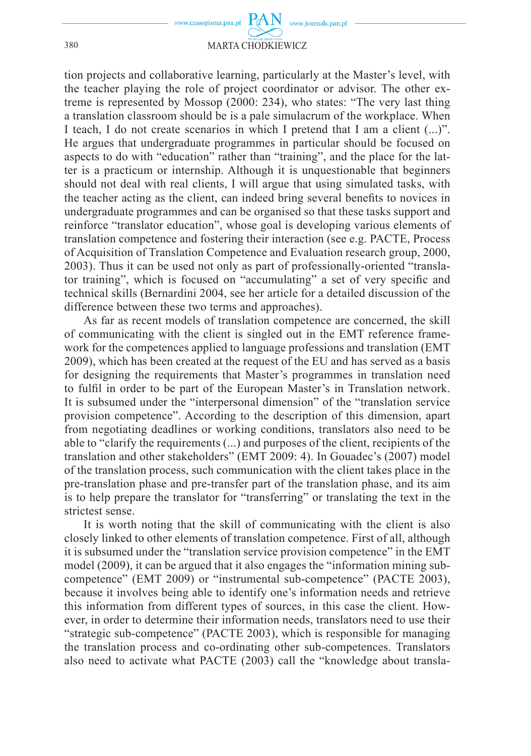

#### 380 MARTA CHODKIEWICZ

tion projects and collaborative learning, particularly at the Master's level, with the teacher playing the role of project coordinator or advisor. The other extreme is represented by Mossop (2000: 234), who states: "The very last thing a translation classroom should be is a pale simulacrum of the workplace. When I teach, I do not create scenarios in which I pretend that I am a client (...)". He argues that undergraduate programmes in particular should be focused on aspects to do with "education" rather than "training", and the place for the latter is a practicum or internship. Although it is unquestionable that beginners should not deal with real clients, I will argue that using simulated tasks, with the teacher acting as the client, can indeed bring several benefits to novices in undergraduate programmes and can be organised so that these tasks support and reinforce "translator education", whose goal is developing various elements of translation competence and fostering their interaction (see e.g. PACTE, Process of Acquisition of Translation Competence and Evaluation research group, 2000, 2003). Thus it can be used not only as part of professionally-oriented "translator training", which is focused on "accumulating" a set of very specific and technical skills (Bernardini 2004, see her article for a detailed discussion of the difference between these two terms and approaches).

As far as recent models of translation competence are concerned, the skill of communicating with the client is singled out in the EMT reference framework for the competences applied to language professions and translation (EMT 2009), which has been created at the request of the EU and has served as a basis for designing the requirements that Master's programmes in translation need to fulfil in order to be part of the European Master's in Translation network. It is subsumed under the "interpersonal dimension" of the "translation service provision competence". According to the description of this dimension, apart from negotiating deadlines or working conditions, translators also need to be able to "clarify the requirements (...) and purposes of the client, recipients of the translation and other stakeholders" (EMT 2009: 4). In Gouadec's (2007) model of the translation process, such communication with the client takes place in the pre-translation phase and pre-transfer part of the translation phase, and its aim is to help prepare the translator for "transferring" or translating the text in the strictest sense.

It is worth noting that the skill of communicating with the client is also closely linked to other elements of translation competence. First of all, although it is subsumed under the "translation service provision competence" in the EMT model (2009), it can be argued that it also engages the "information mining subcompetence" (EMT 2009) or "instrumental sub-competence" (PACTE 2003), because it involves being able to identify one's information needs and retrieve this information from different types of sources, in this case the client. However, in order to determine their information needs, translators need to use their "strategic sub-competence" (PACTE 2003), which is responsible for managing the translation process and co-ordinating other sub-competences. Translators also need to activate what PACTE (2003) call the "knowledge about transla-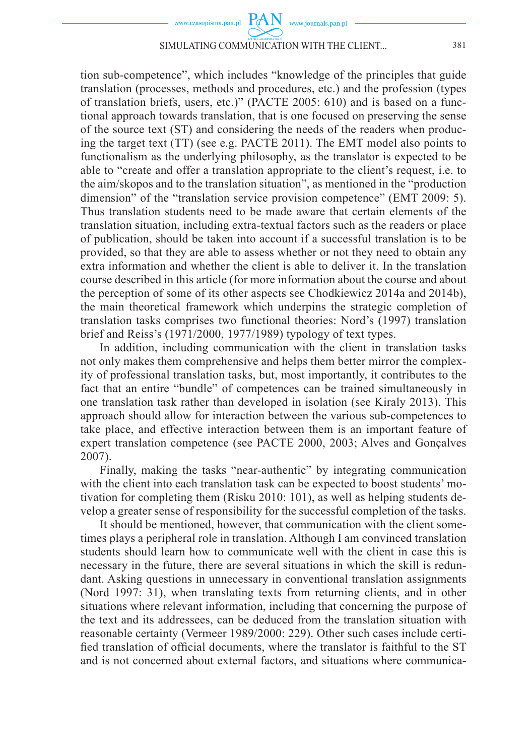

#### SIMULATING COMMUNICATION WITH THE CLIENT... 381

tion sub-competence", which includes "knowledge of the principles that guide translation (processes, methods and procedures, etc.) and the profession (types of translation briefs, users, etc.)" (PACTE 2005: 610) and is based on a functional approach towards translation, that is one focused on preserving the sense of the source text (ST) and considering the needs of the readers when producing the target text (TT) (see e.g. PACTE 2011). The EMT model also points to functionalism as the underlying philosophy, as the translator is expected to be able to "create and offer a translation appropriate to the client's request, i.e. to the aim/skopos and to the translation situation", as mentioned in the "production dimension" of the "translation service provision competence" (EMT 2009: 5). Thus translation students need to be made aware that certain elements of the translation situation, including extra-textual factors such as the readers or place of publication, should be taken into account if a successful translation is to be provided, so that they are able to assess whether or not they need to obtain any extra information and whether the client is able to deliver it. In the translation course described in this article (for more information about the course and about the perception of some of its other aspects see Chodkiewicz 2014a and 2014b), the main theoretical framework which underpins the strategic completion of translation tasks comprises two functional theories: Nord's (1997) translation brief and Reiss's (1971/2000, 1977/1989) typology of text types.

In addition, including communication with the client in translation tasks not only makes them comprehensive and helps them better mirror the complexity of professional translation tasks, but, most importantly, it contributes to the fact that an entire "bundle" of competences can be trained simultaneously in one translation task rather than developed in isolation (see Kiraly 2013). This approach should allow for interaction between the various sub-competences to take place, and effective interaction between them is an important feature of expert translation competence (see PACTE 2000, 2003; Alves and Gonçalves 2007).

Finally, making the tasks "near-authentic" by integrating communication with the client into each translation task can be expected to boost students' motivation for completing them (Risku 2010: 101), as well as helping students develop a greater sense of responsibility for the successful completion of the tasks.

It should be mentioned, however, that communication with the client sometimes plays a peripheral role in translation. Although I am convinced translation students should learn how to communicate well with the client in case this is necessary in the future, there are several situations in which the skill is redundant. Asking questions in unnecessary in conventional translation assignments (Nord 1997: 31), when translating texts from returning clients, and in other situations where relevant information, including that concerning the purpose of the text and its addressees, can be deduced from the translation situation with reasonable certainty (Vermeer 1989/2000: 229). Other such cases include certified translation of official documents, where the translator is faithful to the ST and is not concerned about external factors, and situations where communica-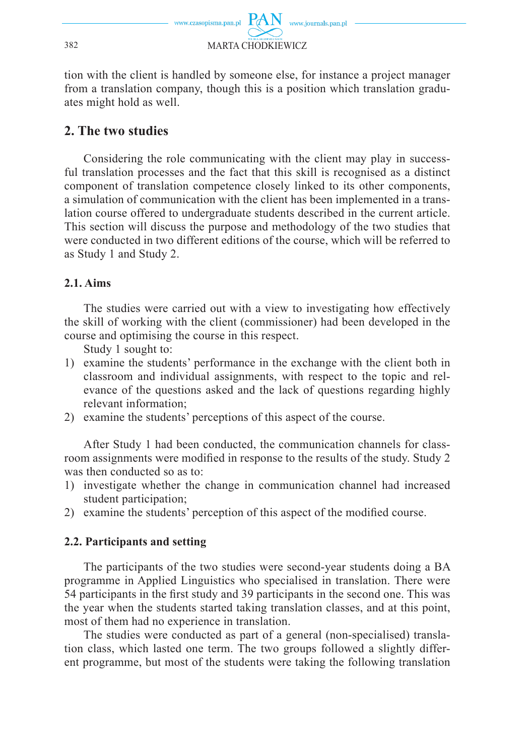

tion with the client is handled by someone else, for instance a project manager from a translation company, though this is a position which translation graduates might hold as well.

## **2. The two studies**

Considering the role communicating with the client may play in successful translation processes and the fact that this skill is recognised as a distinct component of translation competence closely linked to its other components, a simulation of communication with the client has been implemented in a translation course offered to undergraduate students described in the current article. This section will discuss the purpose and methodology of the two studies that were conducted in two different editions of the course, which will be referred to as Study 1 and Study 2.

### **2.1. Aims**

The studies were carried out with a view to investigating how effectively the skill of working with the client (commissioner) had been developed in the course and optimising the course in this respect.

Study 1 sought to:

- 1) examine the students' performance in the exchange with the client both in classroom and individual assignments, with respect to the topic and relevance of the questions asked and the lack of questions regarding highly relevant information;
- 2) examine the students' perceptions of this aspect of the course.

After Study 1 had been conducted, the communication channels for classroom assignments were modified in response to the results of the study. Study 2 was then conducted so as to:

- 1) investigate whether the change in communication channel had increased student participation:
- 2) examine the students' perception of this aspect of the modified course.

### **2.2. Participants and setting**

The participants of the two studies were second-year students doing a BA programme in Applied Linguistics who specialised in translation. There were 54 participants in the first study and 39 participants in the second one. This was the year when the students started taking translation classes, and at this point, most of them had no experience in translation.

The studies were conducted as part of a general (non-specialised) translation class, which lasted one term. The two groups followed a slightly different programme, but most of the students were taking the following translation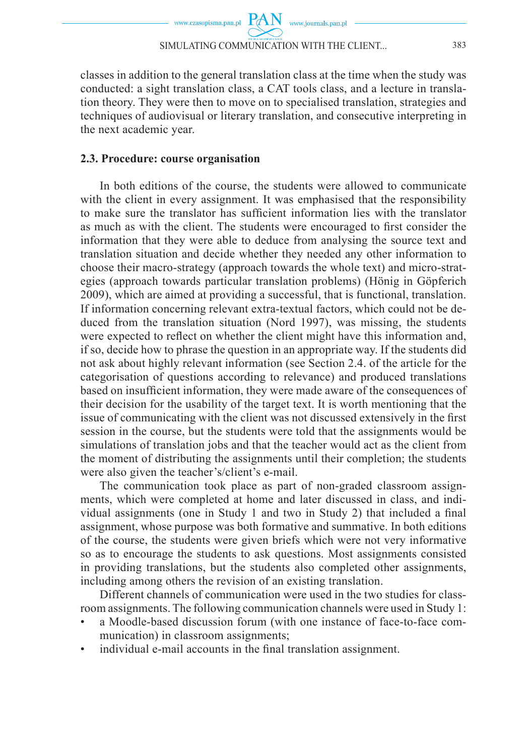

classes in addition to the general translation class at the time when the study was conducted: a sight translation class, a CAT tools class, and a lecture in translation theory. They were then to move on to specialised translation, strategies and techniques of audiovisual or literary translation, and consecutive interpreting in the next academic year.

### **2.3. Procedure: course organisation**

In both editions of the course, the students were allowed to communicate with the client in every assignment. It was emphasised that the responsibility to make sure the translator has sufficient information lies with the translator as much as with the client. The students were encouraged to first consider the information that they were able to deduce from analysing the source text and translation situation and decide whether they needed any other information to choose their macro-strategy (approach towards the whole text) and micro-strategies (approach towards particular translation problems) (Hönig in Göpferich 2009), which are aimed at providing a successful, that is functional, translation. If information concerning relevant extra-textual factors, which could not be deduced from the translation situation (Nord 1997), was missing, the students were expected to reflect on whether the client might have this information and, if so, decide how to phrase the question in an appropriate way. If the students did not ask about highly relevant information (see Section 2.4. of the article for the categorisation of questions according to relevance) and produced translations based on insufficient information, they were made aware of the consequences of their decision for the usability of the target text. It is worth mentioning that the issue of communicating with the client was not discussed extensively in the first session in the course, but the students were told that the assignments would be simulations of translation jobs and that the teacher would act as the client from the moment of distributing the assignments until their completion; the students were also given the teacher's/client's e-mail.

The communication took place as part of non-graded classroom assignments, which were completed at home and later discussed in class, and individual assignments (one in Study 1 and two in Study 2) that included a final assignment, whose purpose was both formative and summative. In both editions of the course, the students were given briefs which were not very informative so as to encourage the students to ask questions. Most assignments consisted in providing translations, but the students also completed other assignments, including among others the revision of an existing translation.

Different channels of communication were used in the two studies for classroom assignments. The following communication channels were used in Study 1:

- a Moodle-based discussion forum (with one instance of face-to-face communication) in classroom assignments;
- individual e-mail accounts in the final translation assignment.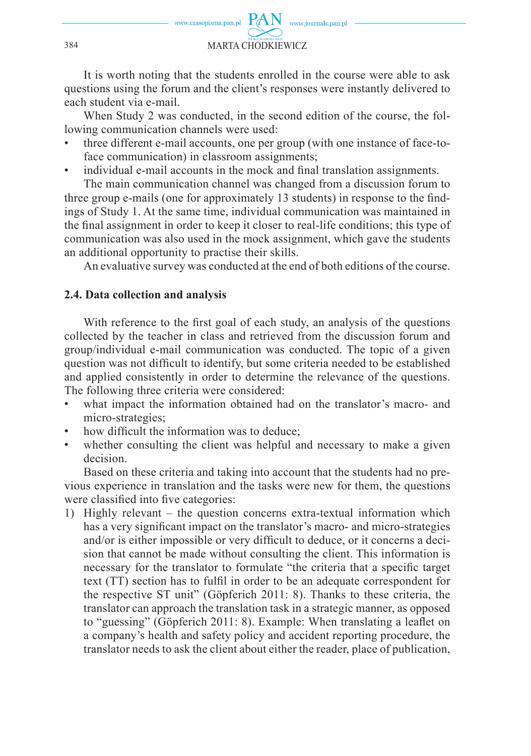

It is worth noting that the students enrolled in the course were able to ask questions using the forum and the client's responses were instantly delivered to each student via e-mail.

When Study 2 was conducted, in the second edition of the course, the following communication channels were used:

- three different e-mail accounts, one per group (with one instance of face-toface communication) in classroom assignments;
- individual e-mail accounts in the mock and final translation assignments.

The main communication channel was changed from a discussion forum to three group e-mails (one for approximately 13 students) in response to the findings of Study 1. At the same time, individual communication was maintained in the final assignment in order to keep it closer to real-life conditions; this type of communication was also used in the mock assignment, which gave the students an additional opportunity to practise their skills.

An evaluative survey was conducted at the end of both editions of the course.

#### **2.4. Data collection and analysis**

With reference to the first goal of each study, an analysis of the questions collected by the teacher in class and retrieved from the discussion forum and group/individual e-mail communication was conducted. The topic of a given question was not difficult to identify, but some criteria needed to be established and applied consistently in order to determine the relevance of the questions. The following three criteria were considered:

- what impact the information obtained had on the translator's macro- and micro-strategies;
- how difficult the information was to deduce;
- whether consulting the client was helpful and necessary to make a given decision.

Based on these criteria and taking into account that the students had no previous experience in translation and the tasks were new for them, the questions were classified into five categories:

1) Highly relevant – the question concerns extra-textual information which has a very significant impact on the translator's macro- and micro-strategies and/or is either impossible or very difficult to deduce, or it concerns a decision that cannot be made without consulting the client. This information is necessary for the translator to formulate "the criteria that a specific target text (TT) section has to fulfil in order to be an adequate correspondent for the respective ST unit" (Göpferich 2011: 8). Thanks to these criteria, the translator can approach the translation task in a strategic manner, as opposed to "guessing" (Göpferich 2011: 8). Example: When translating a leaflet on a company's health and safety policy and accident reporting procedure, the translator needs to ask the client about either the reader, place of publication,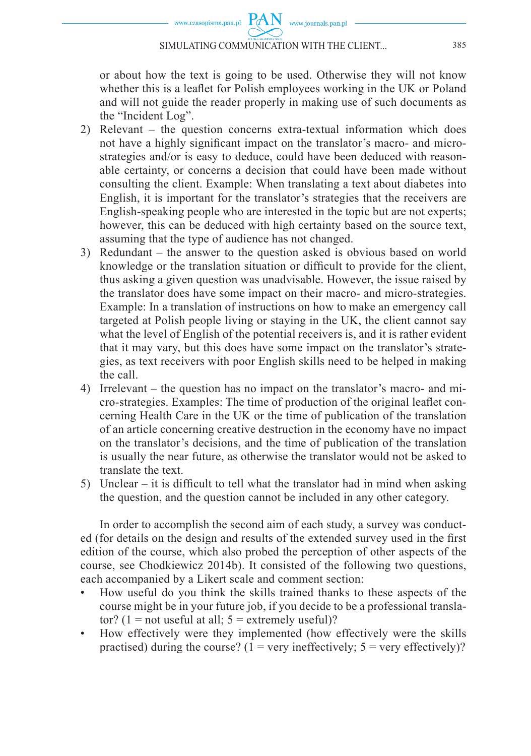

www.czasopisma.pan.pl  $\hbox{ PAN }\,$  www.journals.pan.pl

or about how the text is going to be used. Otherwise they will not know whether this is a leaflet for Polish employees working in the UK or Poland and will not guide the reader properly in making use of such documents as the "Incident Log".

- 2) Relevant the question concerns extra-textual information which does not have a highly significant impact on the translator's macro- and microstrategies and/or is easy to deduce, could have been deduced with reasonable certainty, or concerns a decision that could have been made without consulting the client. Example: When translating a text about diabetes into English, it is important for the translator's strategies that the receivers are English-speaking people who are interested in the topic but are not experts; however, this can be deduced with high certainty based on the source text, assuming that the type of audience has not changed.
- 3) Redundant the answer to the question asked is obvious based on world knowledge or the translation situation or difficult to provide for the client, thus asking a given question was unadvisable. However, the issue raised by the translator does have some impact on their macro- and micro-strategies. Example: In a translation of instructions on how to make an emergency call targeted at Polish people living or staying in the UK, the client cannot say what the level of English of the potential receivers is, and it is rather evident that it may vary, but this does have some impact on the translator's strategies, as text receivers with poor English skills need to be helped in making the call.
- 4) Irrelevant the question has no impact on the translator's macro- and micro-strategies. Examples: The time of production of the original leaflet concerning Health Care in the UK or the time of publication of the translation of an article concerning creative destruction in the economy have no impact on the translator's decisions, and the time of publication of the translation is usually the near future, as otherwise the translator would not be asked to translate the text.
- 5) Unclear it is difficult to tell what the translator had in mind when asking the question, and the question cannot be included in any other category.

In order to accomplish the second aim of each study, a survey was conducted (for details on the design and results of the extended survey used in the first edition of the course, which also probed the perception of other aspects of the course, see Chodkiewicz 2014b). It consisted of the following two questions, each accompanied by a Likert scale and comment section:

- How useful do you think the skills trained thanks to these aspects of the course might be in your future job, if you decide to be a professional translator? (1 = not useful at all;  $5 =$  extremely useful)?
- How effectively were they implemented (how effectively were the skills practised) during the course? ( $1 = \text{very}$  ineffectively;  $5 = \text{very}$  effectively)?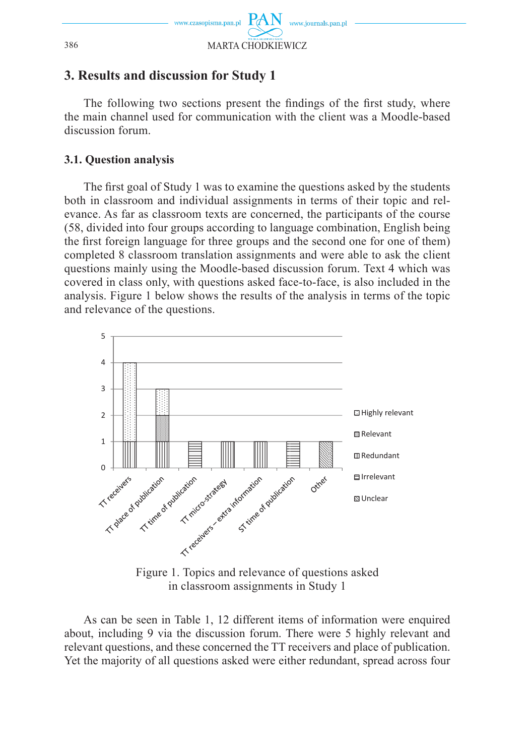

## **3. Results and discussion for Study 1**

The following two sections present the findings of the first study, where the main channel used for communication with the client was a Moodle-based discussion forum.

## **3.1. Question analysis**

The first goal of Study 1 was to examine the questions asked by the students both in classroom and individual assignments in terms of their topic and relevance. As far as classroom texts are concerned, the participants of the course (58, divided into four groups according to language combination, English being the first foreign language for three groups and the second one for one of them) completed 8 classroom translation assignments and were able to ask the client questions mainly using the Moodle-based discussion forum. Text 4 which was covered in class only, with questions asked face-to-face, is also included in the analysis. Figure 1 below shows the results of the analysis in terms of the topic and relevance of the questions.



in classroom assignments in Study 1

As can be seen in Table 1, 12 different items of information were enquired about, including 9 via the discussion forum. There were 5 highly relevant and relevant questions, and these concerned the TT receivers and place of publication. Yet the majority of all questions asked were either redundant, spread across four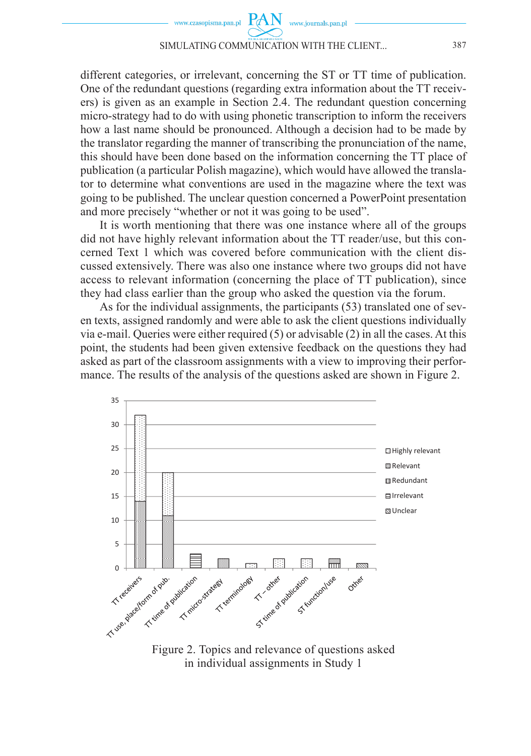

different categories, or irrelevant, concerning the ST or TT time of publication. One of the redundant questions (regarding extra information about the TT receivers) is given as an example in Section 2.4. The redundant question concerning micro-strategy had to do with using phonetic transcription to inform the receivers how a last name should be pronounced. Although a decision had to be made by the translator regarding the manner of transcribing the pronunciation of the name, this should have been done based on the information concerning the TT place of publication (a particular Polish magazine), which would have allowed the translator to determine what conventions are used in the magazine where the text was going to be published. The unclear question concerned a PowerPoint presentation and more precisely "whether or not it was going to be used".

It is worth mentioning that there was one instance where all of the groups did not have highly relevant information about the TT reader/use, but this concerned Text 1 which was covered before communication with the client discussed extensively. There was also one instance where two groups did not have access to relevant information (concerning the place of TT publication), since they had class earlier than the group who asked the question via the forum.

As for the individual assignments, the participants (53) translated one of seven texts, assigned randomly and were able to ask the client questions individually via e-mail. Queries were either required (5) or advisable (2) in all the cases. At this point, the students had been given extensive feedback on the questions they had asked as part of the classroom assignments with a view to improving their performance. The results of the analysis of the questions asked are shown in Figure 2.



Figure 2. Topics and relevance of questions asked in individual assignments in Study 1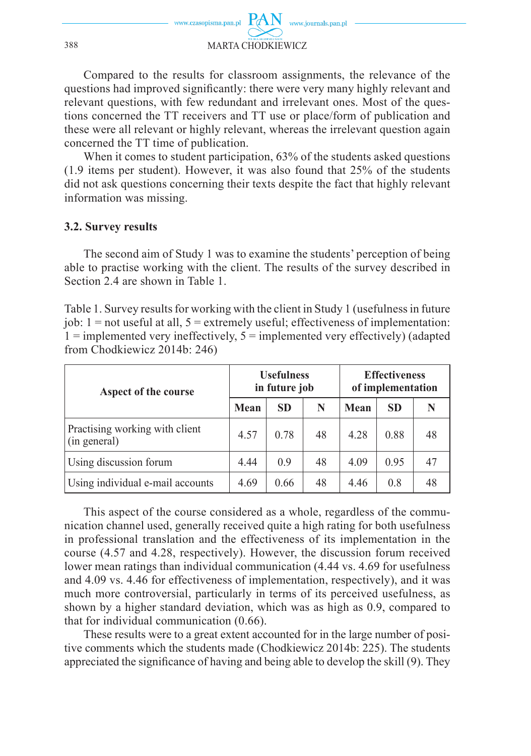

Compared to the results for classroom assignments, the relevance of the questions had improved significantly: there were very many highly relevant and relevant questions, with few redundant and irrelevant ones. Most of the questions concerned the TT receivers and TT use or place/form of publication and these were all relevant or highly relevant, whereas the irrelevant question again concerned the TT time of publication.

When it comes to student participation, 63% of the students asked questions (1.9 items per student). However, it was also found that 25% of the students did not ask questions concerning their texts despite the fact that highly relevant information was missing.

#### **3.2. Survey results**

The second aim of Study 1 was to examine the students' perception of being able to practise working with the client. The results of the survey described in Section 2.4 are shown in Table 1.

Table 1. Survey results for working with the client in Study 1 (usefulness in future job:  $1 =$  not useful at all,  $5 =$  extremely useful; effectiveness of implementation:  $1 =$  implemented very ineffectively,  $5 =$  implemented very effectively) (adapted from Chodkiewicz 2014b: 246)

| Aspect of the course                           | <b>Usefulness</b><br>in future job |           |    | <b>Effectiveness</b><br>of implementation |           |    |
|------------------------------------------------|------------------------------------|-----------|----|-------------------------------------------|-----------|----|
|                                                | Mean                               | <b>SD</b> | N  | Mean                                      | <b>SD</b> |    |
| Practising working with client<br>(in general) | 4.57                               | 0.78      | 48 | 4.28                                      | 0.88      | 48 |
| Using discussion forum                         | 4.44                               | 0.9       | 48 | 4.09                                      | 0.95      |    |
| Using individual e-mail accounts               | 4.69                               | 0.66      | 48 | 4.46                                      | 0.8       | 48 |

This aspect of the course considered as a whole, regardless of the communication channel used, generally received quite a high rating for both usefulness in professional translation and the effectiveness of its implementation in the course (4.57 and 4.28, respectively). However, the discussion forum received lower mean ratings than individual communication (4.44 vs. 4.69 for usefulness and 4.09 vs. 4.46 for effectiveness of implementation, respectively), and it was much more controversial, particularly in terms of its perceived usefulness, as shown by a higher standard deviation, which was as high as 0.9, compared to that for individual communication (0.66).

These results were to a great extent accounted for in the large number of positive comments which the students made (Chodkiewicz 2014b: 225). The students appreciated the significance of having and being able to develop the skill (9). They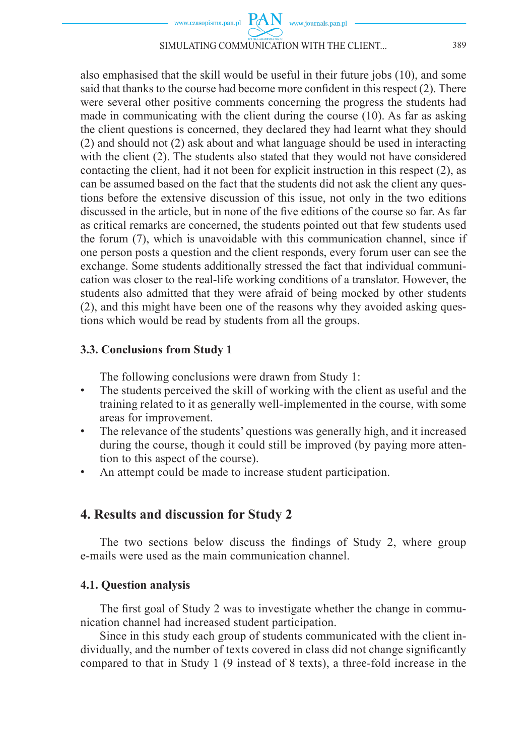

#### SIMULATING COMMUNICATION WITH THE CLIENT... 389

also emphasised that the skill would be useful in their future jobs (10), and some said that thanks to the course had become more confident in this respect  $(2)$ . There were several other positive comments concerning the progress the students had made in communicating with the client during the course (10). As far as asking the client questions is concerned, they declared they had learnt what they should (2) and should not (2) ask about and what language should be used in interacting with the client (2). The students also stated that they would not have considered contacting the client, had it not been for explicit instruction in this respect (2), as can be assumed based on the fact that the students did not ask the client any questions before the extensive discussion of this issue, not only in the two editions discussed in the article, but in none of the five editions of the course so far. As far as critical remarks are concerned, the students pointed out that few students used the forum (7), which is unavoidable with this communication channel, since if one person posts a question and the client responds, every forum user can see the exchange. Some students additionally stressed the fact that individual communication was closer to the real-life working conditions of a translator. However, the students also admitted that they were afraid of being mocked by other students (2), and this might have been one of the reasons why they avoided asking questions which would be read by students from all the groups.

## **3.3. Conclusions from Study 1**

The following conclusions were drawn from Study 1:

- The students perceived the skill of working with the client as useful and the training related to it as generally well-implemented in the course, with some areas for improvement.
- The relevance of the students' questions was generally high, and it increased during the course, though it could still be improved (by paying more attention to this aspect of the course).
- An attempt could be made to increase student participation.

## **4. Results and discussion for Study 2**

The two sections below discuss the findings of Study 2, where group e-mails were used as the main communication channel.

## **4.1. Question analysis**

The first goal of Study 2 was to investigate whether the change in communication channel had increased student participation.

Since in this study each group of students communicated with the client individually, and the number of texts covered in class did not change significantly compared to that in Study 1 (9 instead of 8 texts), a three-fold increase in the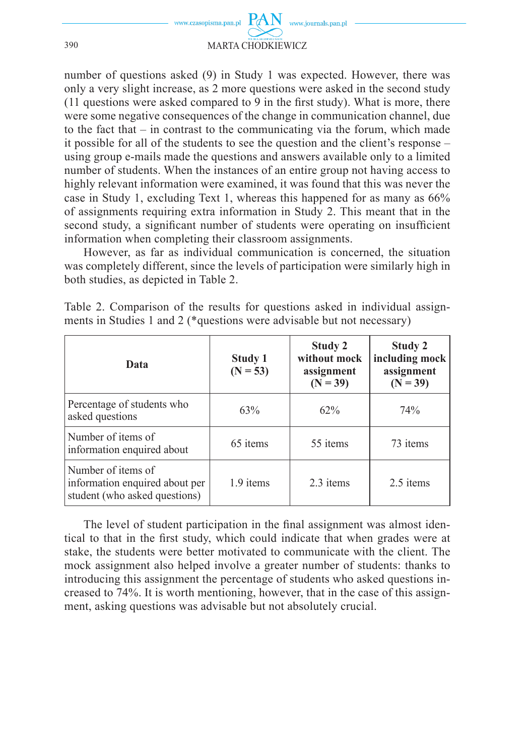

number of questions asked (9) in Study 1 was expected. However, there was only a very slight increase, as 2 more questions were asked in the second study  $(11$  questions were asked compared to 9 in the first study). What is more, there were some negative consequences of the change in communication channel, due to the fact that – in contrast to the communicating via the forum, which made it possible for all of the students to see the question and the client's response – using group e-mails made the questions and answers available only to a limited number of students. When the instances of an entire group not having access to highly relevant information were examined, it was found that this was never the case in Study 1, excluding Text 1, whereas this happened for as many as 66% of assignments requiring extra information in Study 2. This meant that in the second study, a significant number of students were operating on insufficient information when completing their classroom assignments.

However, as far as individual communication is concerned, the situation was completely different, since the levels of participation were similarly high in both studies, as depicted in Table 2.

| Data                                                                                  | Study 1<br>$(N = 53)$ | Study 2<br>without mock<br>assignment<br>$(N = 39)$ | Study 2<br>including mock<br>assignment<br>$(N = 39)$ |  |
|---------------------------------------------------------------------------------------|-----------------------|-----------------------------------------------------|-------------------------------------------------------|--|
| Percentage of students who<br>asked questions                                         | 63%                   | 62%                                                 | 74%                                                   |  |
| Number of items of<br>information enquired about                                      | 65 items              | 55 items                                            | 73 items                                              |  |
| Number of items of<br>information enquired about per<br>student (who asked questions) | 1.9 items             | 2.3 items                                           | 2.5 items                                             |  |

Table 2. Comparison of the results for questions asked in individual assignments in Studies 1 and 2 (\*questions were advisable but not necessary)

The level of student participation in the final assignment was almost identical to that in the first study, which could indicate that when grades were at stake, the students were better motivated to communicate with the client. The mock assignment also helped involve a greater number of students: thanks to introducing this assignment the percentage of students who asked questions increased to 74%. It is worth mentioning, however, that in the case of this assignment, asking questions was advisable but not absolutely crucial.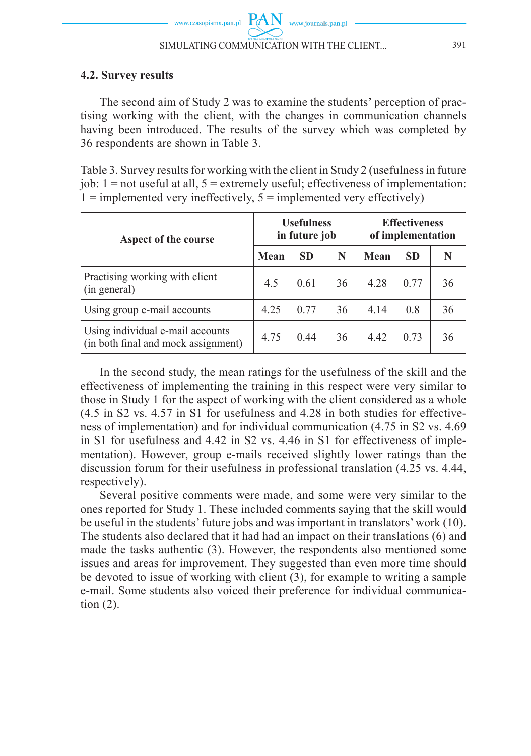#### **4.2. Survey results**

The second aim of Study 2 was to examine the students' perception of practising working with the client, with the changes in communication channels having been introduced. The results of the survey which was completed by 36 respondents are shown in Table 3.

Table 3. Survey results for working with the client in Study 2 (usefulness in future job:  $1 = not useful at all, 5 = extremely useful; effectiveness of implementation:$  $1 =$  implemented very ineffectively,  $5 =$  implemented very effectively)

| Aspect of the course                                                    | <b>Usefulness</b><br>in future job |           |    | <b>Effectiveness</b><br>of implementation |           |    |
|-------------------------------------------------------------------------|------------------------------------|-----------|----|-------------------------------------------|-----------|----|
|                                                                         | Mean                               | <b>SD</b> | N  | Mean                                      | <b>SD</b> |    |
| Practising working with client<br>(in general)                          | 4.5                                | 0.61      | 36 | 4 2 8                                     | 0.77      | 36 |
| Using group e-mail accounts                                             | 4.25                               | 0.77      | 36 | 4.14                                      | 0.8       | 36 |
| Using individual e-mail accounts<br>(in both final and mock assignment) | 4.75                               | 0.44      | 36 | 4.42                                      | 0.73      | 36 |

In the second study, the mean ratings for the usefulness of the skill and the effectiveness of implementing the training in this respect were very similar to those in Study 1 for the aspect of working with the client considered as a whole (4.5 in S2 vs. 4.57 in S1 for usefulness and 4.28 in both studies for effectiveness of implementation) and for individual communication (4.75 in S2 vs. 4.69 in S1 for usefulness and 4.42 in S2 vs. 4.46 in S1 for effectiveness of implementation). However, group e-mails received slightly lower ratings than the discussion forum for their usefulness in professional translation (4.25 vs. 4.44, respectively).

Several positive comments were made, and some were very similar to the ones reported for Study 1. These included comments saying that the skill would be useful in the students' future jobs and was important in translators' work (10). The students also declared that it had had an impact on their translations (6) and made the tasks authentic (3). However, the respondents also mentioned some issues and areas for improvement. They suggested than even more time should be devoted to issue of working with client (3), for example to writing a sample e-mail. Some students also voiced their preference for individual communication  $(2)$ .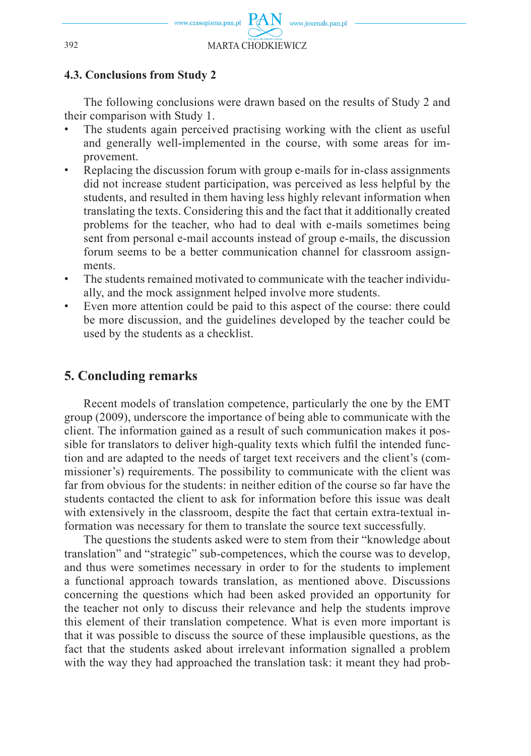

### **4.3. Conclusions from Study 2**

The following conclusions were drawn based on the results of Study 2 and their comparison with Study 1.

- The students again perceived practising working with the client as useful and generally well-implemented in the course, with some areas for improvement.
- Replacing the discussion forum with group e-mails for in-class assignments did not increase student participation, was perceived as less helpful by the students, and resulted in them having less highly relevant information when translating the texts. Considering this and the fact that it additionally created problems for the teacher, who had to deal with e-mails sometimes being sent from personal e-mail accounts instead of group e-mails, the discussion forum seems to be a better communication channel for classroom assignments.
- The students remained motivated to communicate with the teacher individually, and the mock assignment helped involve more students.
- Even more attention could be paid to this aspect of the course: there could be more discussion, and the guidelines developed by the teacher could be used by the students as a checklist.

## **5. Concluding remarks**

Recent models of translation competence, particularly the one by the EMT group (2009), underscore the importance of being able to communicate with the client. The information gained as a result of such communication makes it possible for translators to deliver high-quality texts which fulfil the intended function and are adapted to the needs of target text receivers and the client's (commissioner's) requirements. The possibility to communicate with the client was far from obvious for the students: in neither edition of the course so far have the students contacted the client to ask for information before this issue was dealt with extensively in the classroom, despite the fact that certain extra-textual information was necessary for them to translate the source text successfully.

The questions the students asked were to stem from their "knowledge about translation" and "strategic" sub-competences, which the course was to develop, and thus were sometimes necessary in order to for the students to implement a functional approach towards translation, as mentioned above. Discussions concerning the questions which had been asked provided an opportunity for the teacher not only to discuss their relevance and help the students improve this element of their translation competence. What is even more important is that it was possible to discuss the source of these implausible questions, as the fact that the students asked about irrelevant information signalled a problem with the way they had approached the translation task: it meant they had prob-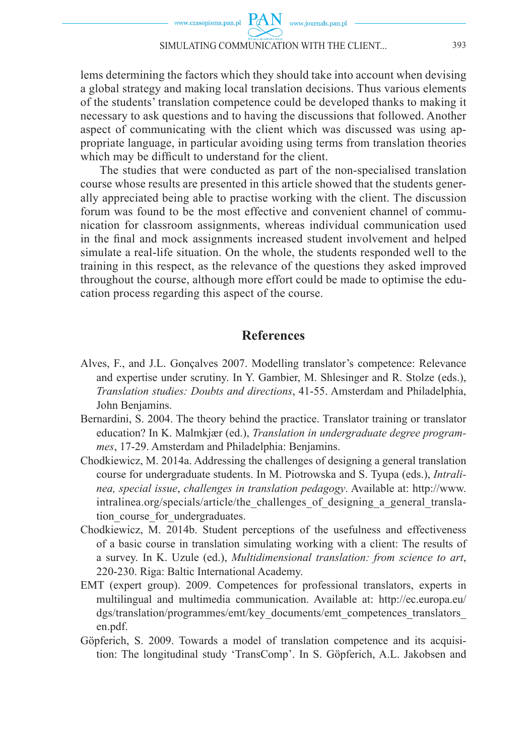#### SIMULATING COMMUNICATION WITH THE CLIENT... 393

lems determining the factors which they should take into account when devising a global strategy and making local translation decisions. Thus various elements of the students' translation competence could be developed thanks to making it necessary to ask questions and to having the discussions that followed. Another aspect of communicating with the client which was discussed was using appropriate language, in particular avoiding using terms from translation theories which may be difficult to understand for the client.

The studies that were conducted as part of the non-specialised translation course whose results are presented in this article showed that the students generally appreciated being able to practise working with the client. The discussion forum was found to be the most effective and convenient channel of communication for classroom assignments, whereas individual communication used in the final and mock assignments increased student involvement and helped simulate a real-life situation. On the whole, the students responded well to the training in this respect, as the relevance of the questions they asked improved throughout the course, although more effort could be made to optimise the education process regarding this aspect of the course.

## **References**

- Alves, F., and J.L. Gonçalves 2007. Modelling translator's competence: Relevance and expertise under scrutiny. In Y. Gambier, M. Shlesinger and R. Stolze (eds.), *Translation studies: Doubts and directions*, 41-55. Amsterdam and Philadelphia, John Benjamins.
- Bernardini, S. 2004. The theory behind the practice. Translator training or translator education? In K. Malmkjær (ed.), *Translation in undergraduate degree programmes*, 17-29. Amsterdam and Philadelphia: Benjamins.
- Chodkiewicz, M. 2014a. Addressing the challenges of designing a general translation course for undergraduate students. In M. Piotrowska and S. Tyupa (eds.), *Intralinea, special issue*, *challenges in translation pedagogy*. Available at: http://www. intralinea.org/specials/article/the\_challenges\_of\_designing\_a\_general\_translation course for undergraduates.
- Chodkiewicz, M. 2014b. Student perceptions of the usefulness and effectiveness of a basic course in translation simulating working with a client: The results of a survey. In K. Uzule (ed.), *Multidimensional translation: from science to art*, 220-230. Riga: Baltic International Academy.
- EMT (expert group). 2009. Competences for professional translators, experts in multilingual and multimedia communication. Available at: http://ec.europa.eu/ dgs/translation/programmes/emt/key\_documents/emt\_competences\_translators\_ en.pdf.
- Göpferich, S. 2009. Towards a model of translation competence and its acquisition: The longitudinal study 'TransComp'. In S. Göpferich, A.L. Jakobsen and